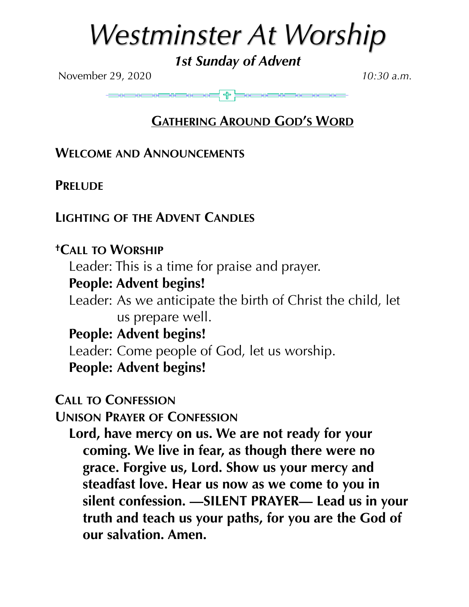# *Westminster At Worship*

*1st Sunday of Advent* 

November 29, 2020 *10:30 a.m.*

### **GATHERING AROUND GOD'S WORD**

**WELCOME AND ANNOUNCEMENTS**

**PRELUDE** 

### **LIGHTING OF THE ADVENT CANDLES**

### **†CALL TO WORSHIP**

Leader: This is a time for praise and prayer.

### **People: Advent begins!**

Leader: As we anticipate the birth of Christ the child, let us prepare well.

**People: Advent begins!** 

Leader: Come people of God, let us worship.

**People: Advent begins!** 

**CALL TO CONFESSION**

**UNISON PRAYER OF CONFESSION**

**Lord, have mercy on us. We are not ready for your coming. We live in fear, as though there were no grace. Forgive us, Lord. Show us your mercy and steadfast love. Hear us now as we come to you in silent confession. —SILENT PRAYER— Lead us in your truth and teach us your paths, for you are the God of our salvation. Amen.**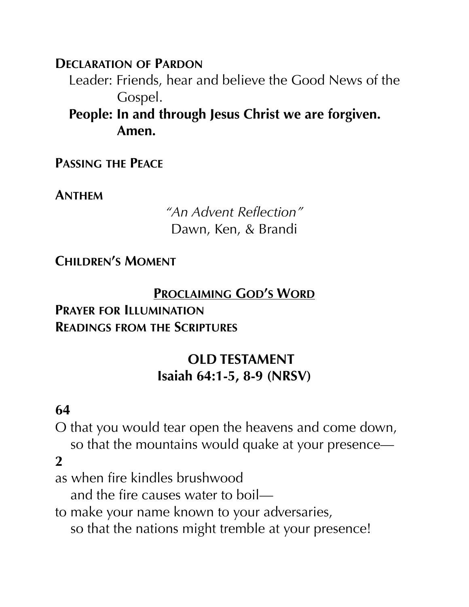**DECLARATION OF PARDON**

Leader: Friends, hear and believe the Good News of the Gospel.

**People: In and through Jesus Christ we are forgiven. Amen.** 

**PASSING THE PEACE**

**ANTHEM**

*"An Advent Reflection"*  Dawn, Ken, & Brandi

**CHILDREN'S MOMENT**

#### **PROCLAIMING GOD'S WORD**

#### **PRAYER FOR ILLUMINATION READINGS FROM THE SCRIPTURES**

### **OLD TESTAMENT Isaiah 64:1-5, 8-9 (NRSV)**

#### **64**

O that you would tear open the heavens and come down, so that the mountains would quake at your presence— **2**

as when fire kindles brushwood

and the fire causes water to boil—

to make your name known to your adversaries,

so that the nations might tremble at your presence!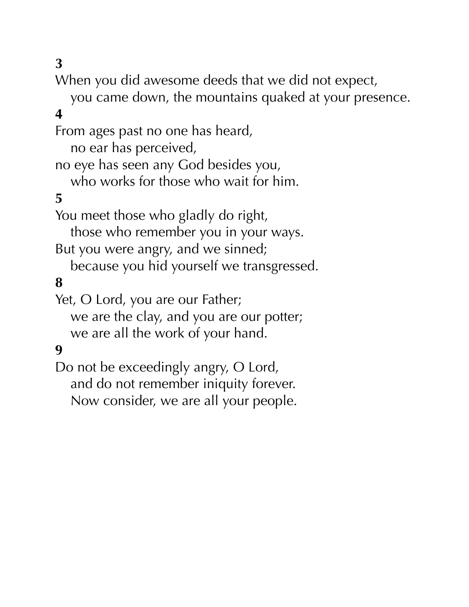### **3**

When you did awesome deeds that we did not expect,

 you came down, the mountains quaked at your presence. **4**

From ages past no one has heard,

no ear has perceived,

no eye has seen any God besides you,

who works for those who wait for him.

### **5**

You meet those who gladly do right,

those who remember you in your ways.

But you were angry, and we sinned;

because you hid yourself we transgressed.

#### **8**

Yet, O Lord, you are our Father;

 we are the clay, and you are our potter; we are all the work of your hand.

#### **9**

Do not be exceedingly angry, O Lord, and do not remember iniquity forever. Now consider, we are all your people.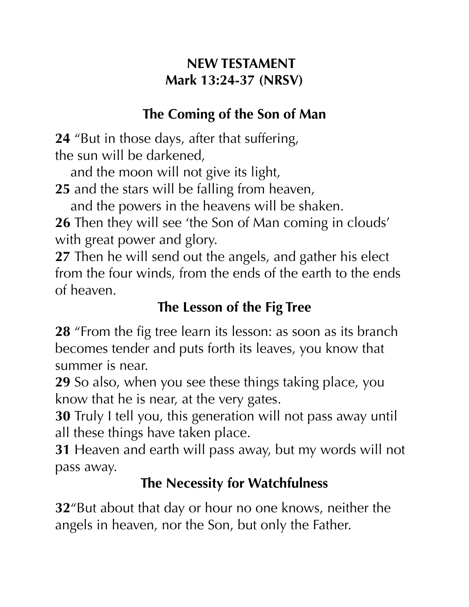### **NEW TESTAMENT Mark 13:24-37 (NRSV)**

## **The Coming of the Son of Man**

**24** "But in those days, after that suffering, the sun will be darkened,

 and the moon will not give its light, **25** and the stars will be falling from heaven,

and the powers in the heavens will be shaken.

**26** Then they will see 'the Son of Man coming in clouds' with great power and glory.

**27** Then he will send out the angels, and gather his elect from the four winds, from the ends of the earth to the ends of heaven.

### **The Lesson of the Fig Tree**

**28** "From the fig tree learn its lesson: as soon as its branch becomes tender and puts forth its leaves, you know that summer is near.

**29** So also, when you see these things taking place, you know that he is near, at the very gates.

**30** Truly I tell you, this generation will not pass away until all these things have taken place.

**31** Heaven and earth will pass away, but my words will not pass away.

### **The Necessity for Watchfulness**

**32**"But about that day or hour no one knows, neither the angels in heaven, nor the Son, but only the Father.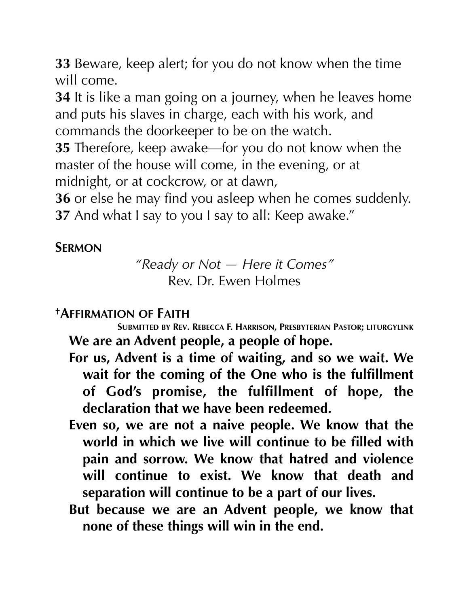**33** Beware, keep alert; for you do not know when the time will come.

**34** It is like a man going on a journey, when he leaves home and puts his slaves in charge, each with his work, and commands the doorkeeper to be on the watch.

**35** Therefore, keep awake—for you do not know when the master of the house will come, in the evening, or at midnight, or at cockcrow, or at dawn,

**36** or else he may find you asleep when he comes suddenly. **37** And what I say to you I say to all: Keep awake."

### **SERMON**

*"Ready or Not — Here it Comes"*  Rev. Dr. Ewen Holmes

**†AFFIRMATION OF FAITH SUBMITTED BY REV. REBECCA F. HARRISON, PRESBYTERIAN PASTOR; LITURGYLINK We are an Advent people, a people of hope.** 

- **For us, Advent is a time of waiting, and so we wait. We wait for the coming of the One who is the fulfillment of God's promise, the fulfillment of hope, the declaration that we have been redeemed.**
- **Even so, we are not a naive people. We know that the world in which we live will continue to be filled with pain and sorrow. We know that hatred and violence will continue to exist. We know that death and separation will continue to be a part of our lives.**
- **But because we are an Advent people, we know that none of these things will win in the end.**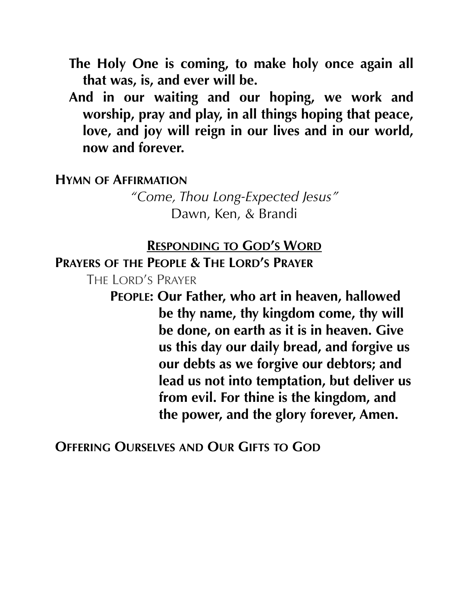- **The Holy One is coming, to make holy once again all that was, is, and ever will be.**
- **And in our waiting and our hoping, we work and worship, pray and play, in all things hoping that peace, love, and joy will reign in our lives and in our world, now and forever.**

#### **HYMN OF AFFIRMATION**

*"Come, Thou Long-Expected Jesus"*  Dawn, Ken, & Brandi

#### **RESPONDING TO GOD'S WORD**

**PRAYERS OF THE PEOPLE & THE LORD'S PRAYER**

THE LORD'S PRAYER

**PEOPLE: Our Father, who art in heaven, hallowed be thy name, thy kingdom come, thy will be done, on earth as it is in heaven. Give us this day our daily bread, and forgive us our debts as we forgive our debtors; and lead us not into temptation, but deliver us from evil. For thine is the kingdom, and the power, and the glory forever, Amen.** 

**OFFERING OURSELVES AND OUR GIFTS TO GOD**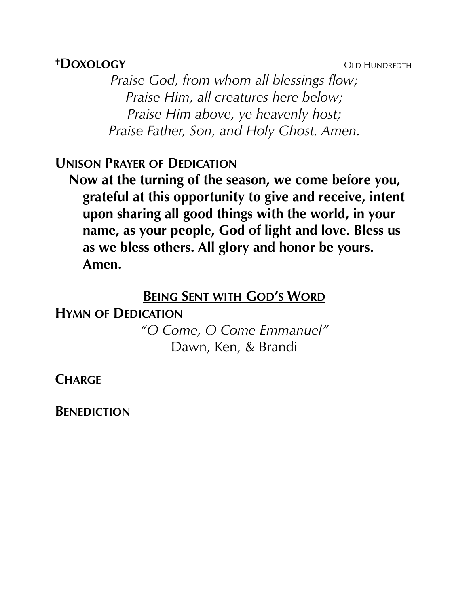#### *†DOXOLOGY* OLD HUNDREDTH

*Praise God, from whom all blessings flow; Praise Him, all creatures here below; Praise Him above, ye heavenly host; Praise Father, Son, and Holy Ghost. Amen.* 

#### **UNISON PRAYER OF DEDICATION**

**Now at the turning of the season, we come before you, grateful at this opportunity to give and receive, intent upon sharing all good things with the world, in your name, as your people, God of light and love. Bless us as we bless others. All glory and honor be yours. Amen.** 

#### **BEING SENT WITH GOD'S WORD**

**HYMN OF DEDICATION** 

*"O Come, O Come Emmanuel"*  Dawn, Ken, & Brandi

**CHARGE**

**BENEDICTION**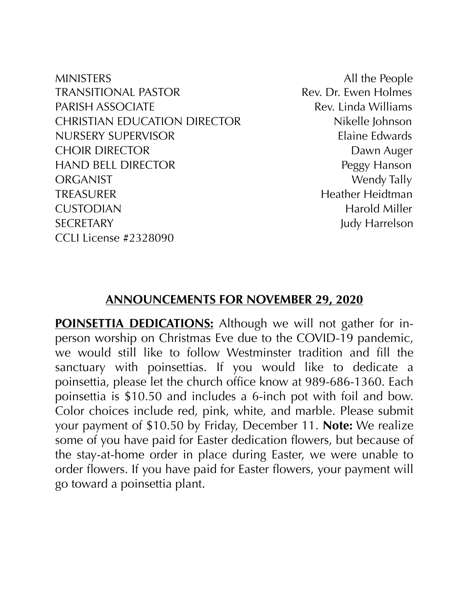MINISTERS All the People TRANSITIONAL PASTOR TRANSITIONAL PASTOR PARISH ASSOCIATE **Rev.** Linda Williams CHRISTIAN EDUCATION DIRECTOR Nikelle Johnson NURSERY SUPERVISOR Elaine Edwards CHOIR DIRECTOR DAWN Auger HAND BELL DIRECTOR Peggy Hanson ORGANIST Wendy Tally TREASURER Heather Heidtman CUSTODIAN Harold Miller SECRETARY Judy Harrelson CCLI License #2328090

#### **ANNOUNCEMENTS FOR NOVEMBER 29, 2020**

**POINSETTIA DEDICATIONS:** Although we will not gather for inperson worship on Christmas Eve due to the COVID-19 pandemic, we would still like to follow Westminster tradition and fill the sanctuary with poinsettias. If you would like to dedicate a poinsettia, please let the church office know at 989-686-1360. Each poinsettia is \$10.50 and includes a 6-inch pot with foil and bow. Color choices include red, pink, white, and marble. Please submit your payment of \$10.50 by Friday, December 11. **Note:** We realize some of you have paid for Easter dedication flowers, but because of the stay-at-home order in place during Easter, we were unable to order flowers. If you have paid for Easter flowers, your payment will go toward a poinsettia plant.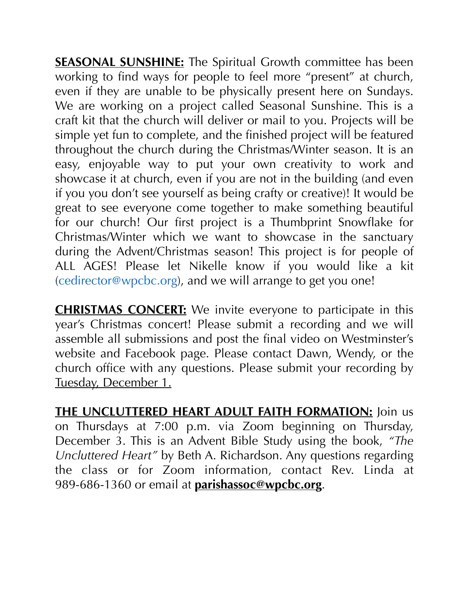**SEASONAL SUNSHINE:** The Spiritual Growth committee has been working to find ways for people to feel more "present" at church, even if they are unable to be physically present here on Sundays. We are working on a project called Seasonal Sunshine. This is a craft kit that the church will deliver or mail to you. Projects will be simple yet fun to complete, and the finished project will be featured throughout the church during the Christmas/Winter season. It is an easy, enjoyable way to put your own creativity to work and showcase it at church, even if you are not in the building (and even if you you don't see yourself as being crafty or creative)! It would be great to see everyone come together to make something beautiful for our church! Our first project is a Thumbprint Snowflake for Christmas/Winter which we want to showcase in the sanctuary during the Advent/Christmas season! This project is for people of ALL AGES! Please let Nikelle know if you would like a kit [\(cedirector@wpcbc.org\)](mailto:cedirector@wpcbc.org), and we will arrange to get you one!

**CHRISTMAS CONCERT:** We invite everyone to participate in this year's Christmas concert! Please submit a recording and we will assemble all submissions and post the final video on Westminster's website and Facebook page. Please contact Dawn, Wendy, or the church office with any questions. Please submit your recording by Tuesday, December 1.

**THE UNCLUTTERED HEART ADULT FAITH FORMATION:** Join us on Thursdays at 7:00 p.m. via Zoom beginning on Thursday, December 3. This is an Advent Bible Study using the book, *"The Uncluttered Heart"* by Beth A. Richardson. Any questions regarding the class or for Zoom information, contact Rev. Linda at 989-686-1360 or email at **[parishassoc@wpcbc.org](mailto:parishassoc@wpcbc.org)**.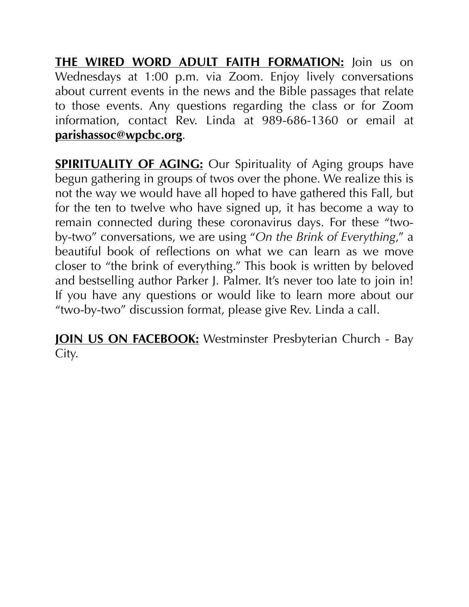**THE WIRED WORD ADULT FAITH FORMATION:** Join us on Wednesdays at 1:00 p.m. via Zoom. Enjoy lively conversations about current events in the news and the Bible passages that relate to those events. Any questions regarding the class or for Zoom information, contact Rev. Linda at 989-686-1360 or email at **[parishassoc@wpcbc.org](mailto:parishassoc@wpcbc.org)**.

**SPIRITUALITY OF AGING:** Our Spirituality of Aging groups have begun gathering in groups of twos over the phone. We realize this is not the way we would have all hoped to have gathered this Fall, but for the ten to twelve who have signed up, it has become a way to remain connected during these coronavirus days. For these "twoby-two" conversations, we are using "*On the Brink of Everything*," a beautiful book of reflections on what we can learn as we move closer to "the brink of everything." This book is written by beloved and bestselling author Parker J. Palmer. It's never too late to join in! If you have any questions or would like to learn more about our "two-by-two" discussion format, please give Rev. Linda a call.

**JOIN US ON FACEBOOK:** Westminster Presbyterian Church - Bay City.